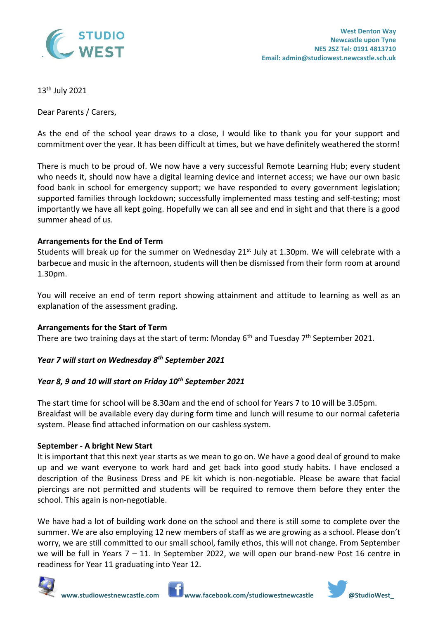

13th July 2021

Dear Parents / Carers,

As the end of the school year draws to a close, I would like to thank you for your support and commitment over the year. It has been difficult at times, but we have definitely weathered the storm!

There is much to be proud of. We now have a very successful Remote Learning Hub; every student who needs it, should now have a digital learning device and internet access; we have our own basic food bank in school for emergency support; we have responded to every government legislation; supported families through lockdown; successfully implemented mass testing and self-testing; most importantly we have all kept going. Hopefully we can all see and end in sight and that there is a good summer ahead of us.

# **Arrangements for the End of Term**

Students will break up for the summer on Wednesday 21<sup>st</sup> July at 1.30pm. We will celebrate with a barbecue and music in the afternoon, students will then be dismissed from their form room at around 1.30pm.

You will receive an end of term report showing attainment and attitude to learning as well as an explanation of the assessment grading.

## **Arrangements for the Start of Term**

There are two training days at the start of term: Monday  $6<sup>th</sup>$  and Tuesday  $7<sup>th</sup>$  September 2021.

## *Year 7 will start on Wednesday 8th September 2021*

## *Year 8, 9 and 10 will start on Friday 10th September 2021*

The start time for school will be 8.30am and the end of school for Years 7 to 10 will be 3.05pm. Breakfast will be available every day during form time and lunch will resume to our normal cafeteria system. Please find attached information on our cashless system.

## **September - A bright New Start**

It is important that this next year starts as we mean to go on. We have a good deal of ground to make up and we want everyone to work hard and get back into good study habits. I have enclosed a description of the Business Dress and PE kit which is non-negotiable. Please be aware that facial piercings are not permitted and students will be required to remove them before they enter the school. This again is non-negotiable.

We have had a lot of building work done on the school and there is still some to complete over the summer. We are also employing 12 new members of staff as we are growing as a school. Please don't worry, we are still committed to our small school, family ethos, this will not change. From September we will be full in Years 7 – 11. In September 2022, we will open our brand-new Post 16 centre in readiness for Year 11 graduating into Year 12.